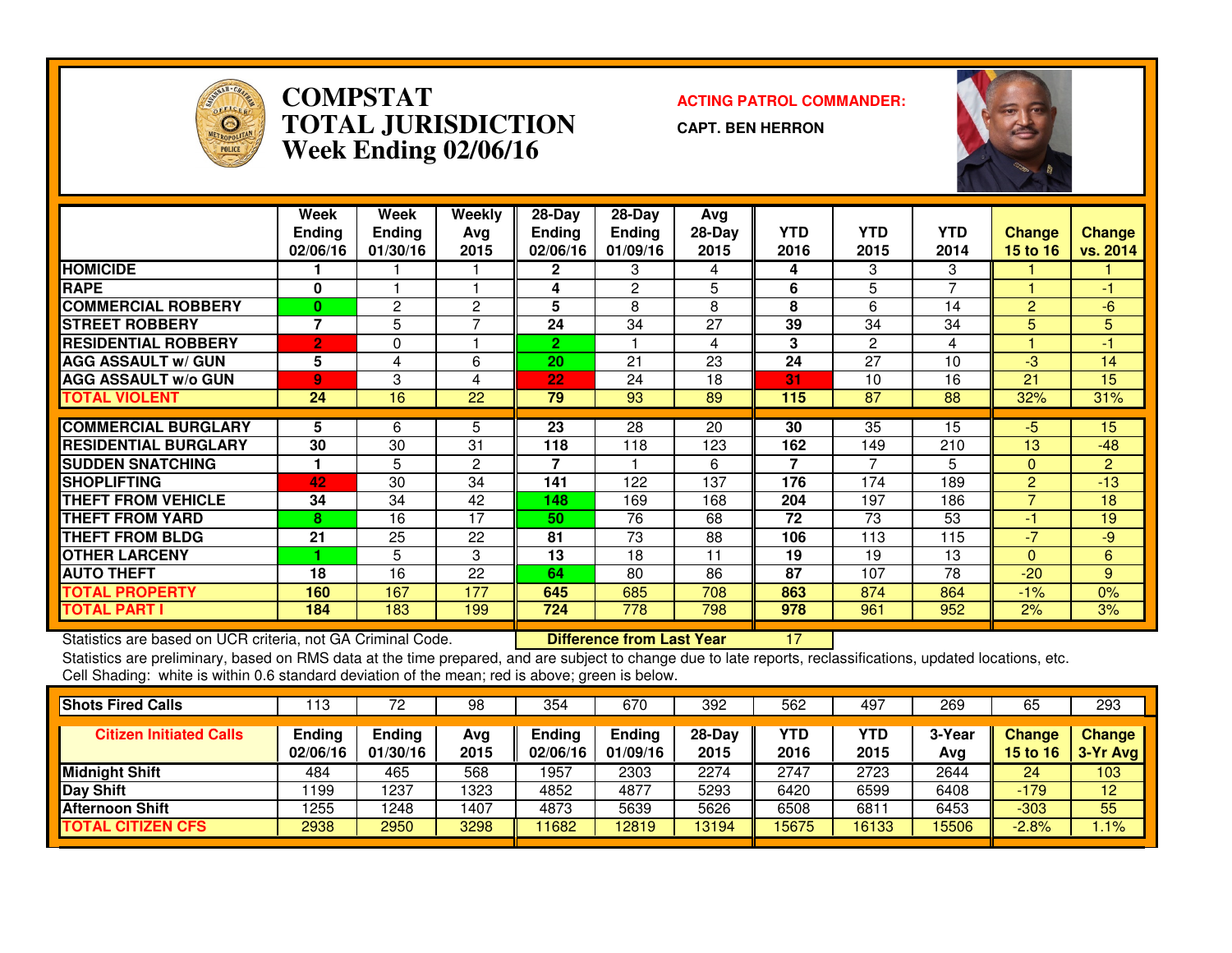

### **COMPSTAT ACTING PATROL COMMANDER: TOTAL JURISDICTIONWeek Ending 02/06/16**

**CAPT. BEN HERRON**



|                             | Week<br><b>Ending</b><br>02/06/16 | Week<br><b>Ending</b><br>01/30/16 | Weekly<br>Ava<br>2015 | $28-Day$<br><b>Ending</b><br>02/06/16 | $28-Day$<br><b>Ending</b><br>01/09/16 | Avg<br>28-Day<br>2015 | <b>YTD</b><br>2016 | <b>YTD</b><br>2015 | <b>YTD</b><br>2014       | <b>Change</b><br>15 to 16 | Change<br>vs. 2014 |
|-----------------------------|-----------------------------------|-----------------------------------|-----------------------|---------------------------------------|---------------------------------------|-----------------------|--------------------|--------------------|--------------------------|---------------------------|--------------------|
| <b>HOMICIDE</b>             |                                   |                                   |                       | $\mathbf{2}$                          | 3                                     | 4                     | 4                  | 3                  | 3                        |                           |                    |
| <b>RAPE</b>                 | 0                                 |                                   |                       | 4                                     | 2                                     | 5                     | 6                  | 5                  | $\overline{\phantom{a}}$ |                           | -1                 |
| <b>COMMERCIAL ROBBERY</b>   | 0                                 | $\overline{c}$                    | 2                     | 5                                     | 8                                     | 8                     | 8                  | 6                  | 14                       | $\overline{2}$            | -6                 |
| <b>STREET ROBBERY</b>       | 7                                 | 5                                 |                       | 24                                    | 34                                    | 27                    | 39                 | 34                 | 34                       | 5.                        | 5                  |
| <b>RESIDENTIAL ROBBERY</b>  | $\overline{2}$                    | $\Omega$                          |                       | $\overline{2}$                        |                                       | 4                     | 3                  | $\overline{c}$     | 4                        |                           | $-1$               |
| <b>AGG ASSAULT w/ GUN</b>   | 5                                 | 4                                 | 6                     | 20                                    | 21                                    | 23                    | 24                 | 27                 | 10                       | -3                        | 14                 |
| <b>AGG ASSAULT w/o GUN</b>  | 9                                 | 3                                 | 4                     | 22                                    | 24                                    | 18                    | 31                 | 10                 | 16                       | 21                        | 15                 |
| TOTAL VIOLENT               | 24                                | 16                                | 22                    | 79                                    | 93                                    | 89                    | 115                | 87                 | 88                       | 32%                       | 31%                |
|                             |                                   |                                   |                       |                                       |                                       |                       |                    |                    |                          |                           |                    |
| <b>COMMERCIAL BURGLARY</b>  | 5                                 | 6                                 | 5                     | 23                                    | 28                                    | 20                    | 30                 | 35                 | 15                       | -5                        | 15                 |
| <b>RESIDENTIAL BURGLARY</b> | 30                                | 30                                | 31                    | 118                                   | 118                                   | 123                   | 162                | 149                | 210                      | 13                        | $-48$              |
| <b>SUDDEN SNATCHING</b>     |                                   | 5                                 | $\overline{c}$        | 7                                     |                                       | 6                     | $\overline{7}$     | 7                  | 5                        | $\Omega$                  | $\overline{2}$     |
| <b>SHOPLIFTING</b>          | 42                                | 30                                | 34                    | 141                                   | 122                                   | 137                   | 176                | 174                | 189                      | $\overline{2}$            | $-13$              |
| <b>THEFT FROM VEHICLE</b>   | 34                                | 34                                | 42                    | 148                                   | 169                                   | 168                   | 204                | 197                | 186                      | $\overline{7}$            | 18                 |
| <b>THEFT FROM YARD</b>      | 8                                 | 16                                | 17                    | 50                                    | 76                                    | 68                    | 72                 | 73                 | 53                       | -1                        | 19                 |
| <b>THEFT FROM BLDG</b>      | 21                                | 25                                | 22                    | 81                                    | 73                                    | 88                    | 106                | 113                | 115                      | $-7$                      | -9                 |
| <b>OTHER LARCENY</b>        |                                   | 5                                 | 3                     | 13                                    | 18                                    | 11                    | 19                 | 19                 | 13                       | $\Omega$                  | 6                  |
| <b>AUTO THEFT</b>           | 18                                | 16                                | 22                    | 64                                    | 80                                    | 86                    | 87                 | 107                | 78                       | $-20$                     | 9                  |
| <b>TOTAL PROPERTY</b>       | 160                               | 167                               | 177                   | 645                                   | 685                                   | 708                   | 863                | 874                | 864                      | $-1%$                     | 0%                 |
| <b>TOTAL PART I</b>         | 184                               | 183                               | 199                   | 724                                   | 778                                   | 798                   | 978                | 961                | 952                      | 2%                        | 3%                 |

Statistics are based on UCR criteria, not GA Criminal Code. **Difference from Last Year** 

Statistics are based on UCR criteria, not GA Criminal Code. **[18] Difference from Last Year [18] 17** [18] [18] A<br>Statistics are preliminary, based on RMS data at the time prepared, and are subject to change due to late rep Cell Shading: white is within 0.6 standard deviation of the mean; red is above; green is below.

| <b>Shots Fired Calls</b>       | ∣13                | 72                        | 98          | 354                | 670                       | 392              | 562         | 497                | 269           | 65                               | 293                       |
|--------------------------------|--------------------|---------------------------|-------------|--------------------|---------------------------|------------------|-------------|--------------------|---------------|----------------------------------|---------------------------|
| <b>Citizen Initiated Calls</b> | Ending<br>02/06/16 | <b>Ending</b><br>01/30/16 | Ava<br>2015 | Endina<br>02/06/16 | <b>Ending</b><br>01/09/16 | $28-Dav$<br>2015 | YTD<br>2016 | <b>YTD</b><br>2015 | 3-Year<br>Avg | <b>Change</b><br><b>15 to 16</b> | <b>Change</b><br>3-Yr Avg |
| <b>Midnight Shift</b>          | 484                | 465                       | 568         | 1957               | 2303                      | 2274             | 2747        | 2723               | 2644          | 24                               | 103                       |
| Day Shift                      | 1199               | .237                      | 1323        | 4852               | 4877                      | 5293             | 6420        | 6599               | 6408          | $-179$                           | 12                        |
| <b>Afternoon Shift</b>         | 1255               | 248                       | 1407        | 4873               | 5639                      | 5626             | 6508        | 6811               | 6453          | $-303$                           | 55                        |
| <b>TOTAL CITIZEN CFS</b>       | 2938               | 2950                      | 3298        | 11682              | 12819                     | 13194            | 15675       | 16133              | 15506         | $-2.8%$                          | 1.1%                      |
|                                |                    |                           |             |                    |                           |                  |             |                    |               |                                  |                           |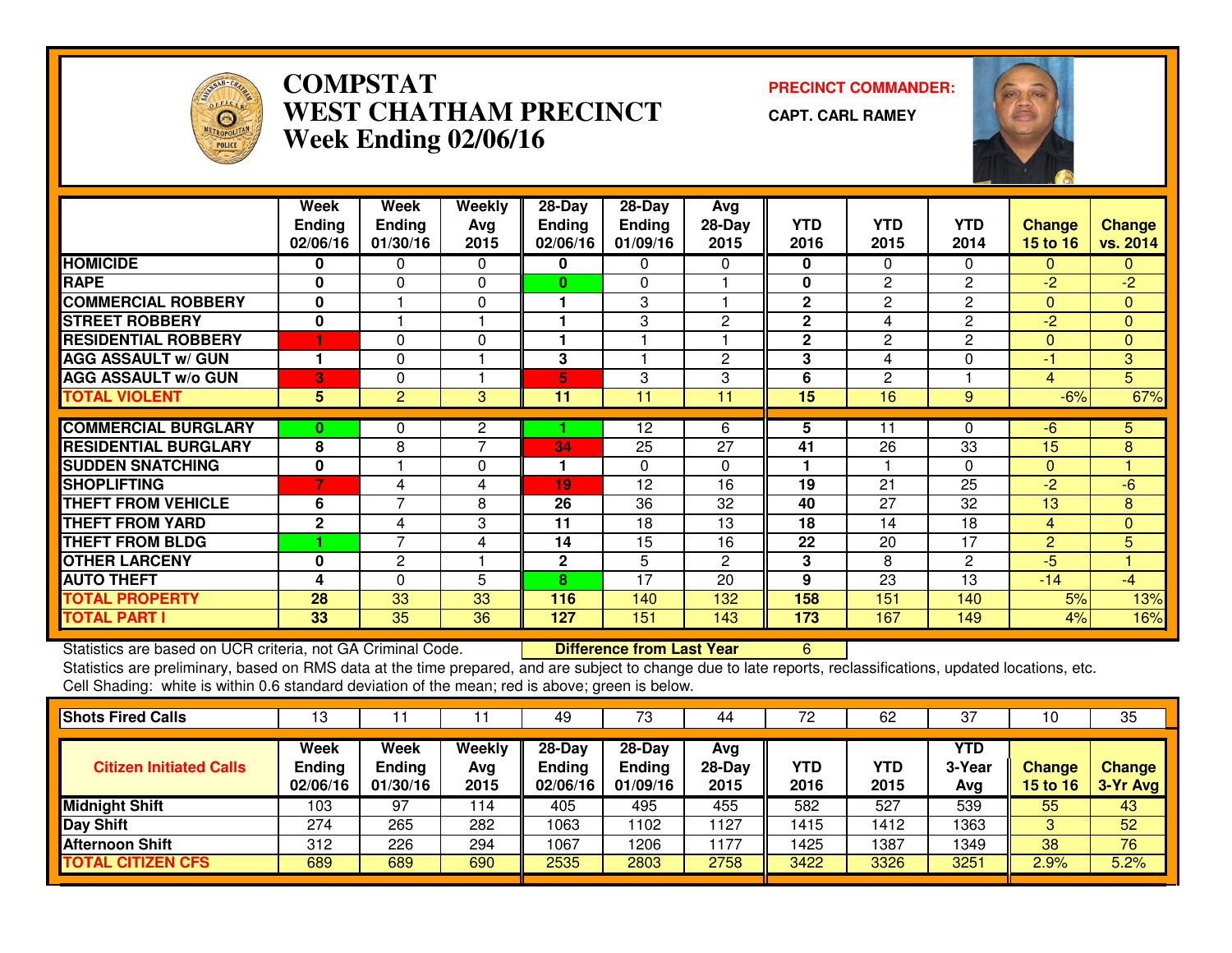

## **COMPSTAT PRECINCT COMMANDER: WEST CHATHAM PRECINCTWeek Ending 02/06/16**

**CAPT. CARL RAMEY**



|                             | Week          | Week           | <b>Weekly</b>  | 28-Day        | $28 - Day$    | Avg      |                |                 |                |                |                |
|-----------------------------|---------------|----------------|----------------|---------------|---------------|----------|----------------|-----------------|----------------|----------------|----------------|
|                             | <b>Ending</b> | <b>Ending</b>  | Avg            | <b>Ending</b> | <b>Ending</b> | $28-Day$ | <b>YTD</b>     | <b>YTD</b>      | <b>YTD</b>     | <b>Change</b>  | <b>Change</b>  |
|                             | 02/06/16      | 01/30/16       | 2015           | 02/06/16      | 01/09/16      | 2015     | 2016           | 2015            | 2014           | 15 to 16       | vs. 2014       |
| <b>HOMICIDE</b>             | 0             | 0              | $\Omega$       | 0             | 0             | 0        | $\mathbf 0$    | $\Omega$        | $\Omega$       | $\mathbf{0}$   | $\mathbf{0}$   |
| <b>RAPE</b>                 | $\bf{0}$      | $\Omega$       | $\Omega$       | 0             | $\Omega$      |          | $\mathbf{0}$   | $\mathbf{2}$    | $\mathbf{2}$   | $-2$           | $-2$           |
| <b>COMMERCIAL ROBBERY</b>   | 0             |                | $\Omega$       | 1             | 3             |          | $\overline{2}$ | $\mathbf{2}$    | 2              | $\Omega$       | $\overline{0}$ |
| <b>STREET ROBBERY</b>       | 0             |                |                |               | 3             | 2        | $\mathbf{2}$   | 4               | $\overline{c}$ | $-2$           | $\Omega$       |
| <b>RESIDENTIAL ROBBERY</b>  | 1             | 0              | $\Omega$       | 1             | ۴             |          | $\overline{2}$ | $\mathbf{2}$    | 2              | $\Omega$       | $\mathbf{0}$   |
| <b>AGG ASSAULT w/ GUN</b>   |               | $\Omega$       |                | 3             |               | 2        | 3              | 4               | 0              | $-1$           | 3              |
| <b>AGG ASSAULT w/o GUN</b>  | 3             | $\Omega$       |                | 5             | 3             | 3        | 6              | $\mathbf{2}$    |                | $\overline{4}$ | $\overline{5}$ |
| <b>TOTAL VIOLENT</b>        | 5             | $\overline{2}$ | 3              | 11            | 11            | 11       | 15             | $\overline{16}$ | 9              | $-6%$          | 67%            |
| <b>COMMERCIAL BURGLARY</b>  | 0             | 0              | 2              |               | 12            | 6        | 5              | 11              | 0              | -6             | 5.             |
| <b>RESIDENTIAL BURGLARY</b> | 8             | 8              | $\overline{7}$ | 34            | 25            | 27       | 41             | 26              | 33             | 15             | 8              |
| <b>SUDDEN SNATCHING</b>     | $\mathbf{0}$  |                | $\Omega$       | 1             | $\Omega$      | 0        |                |                 | $\Omega$       | $\Omega$       |                |
| <b>SHOPLIFTING</b>          | 7             | 4              | 4              | 19            | 12            | 16       | 19             | 21              | 25             | $-2$           | $-6$           |
| <b>THEFT FROM VEHICLE</b>   | 6             | 7              | 8              | 26            | 36            | 32       | 40             | 27              | 32             | 13             | 8              |
| <b>THEFT FROM YARD</b>      | $\mathbf{2}$  | 4              | 3              | 11            | 18            | 13       | 18             | 14              | 18             | $\overline{4}$ | $\mathbf{0}$   |
| <b>THEFT FROM BLDG</b>      |               | $\overline{ }$ | 4              | 14            | 15            | 16       | 22             | 20              | 17             | $\overline{2}$ | 5 <sup>1</sup> |
| <b>OTHER LARCENY</b>        | $\bf{0}$      | 2              |                | $\mathbf{2}$  | 5             | 2        | 3              | 8               | 2              | $-5$           |                |
| <b>AUTO THEFT</b>           | 4             | 0              | 5              | 8             | 17            | 20       | 9              | 23              | 13             | $-14$          | $-4$           |
| <b>TOTAL PROPERTY</b>       | 28            | 33             | 33             | 116           | 140           | 132      | 158            | 151             | 140            | 5%             | 13%            |
| <b>TOTAL PART I</b>         | 33            | 35             | 36             | 127           | 151           | 143      | 173            | 167             | 149            | 4%             | 16%            |

Statistics are based on UCR criteria, not GA Criminal Code. **Difference from Last Year** 

Statistics are based on UCR criteria, not GA Criminal Code. **Difference from Last Year Schoff** Collect Constitutions, updated locations, etc.<br>Statistics are preliminary, based on RMS data at the time prepared, and are subj Cell Shading: white is within 0.6 standard deviation of the mean; red is above; green is below.

| <b>Shots Fired Calls</b>       | 13                                |                                   |                       | 49                                  | 73                                    | 44                    | 72          | 62                 | 37                          | 10                               | 35                        |
|--------------------------------|-----------------------------------|-----------------------------------|-----------------------|-------------------------------------|---------------------------------------|-----------------------|-------------|--------------------|-----------------------------|----------------------------------|---------------------------|
| <b>Citizen Initiated Calls</b> | Week<br><b>Ending</b><br>02/06/16 | Week<br><b>Ending</b><br>01/30/16 | Weekly<br>Avg<br>2015 | 28-Day<br><b>Ending</b><br>02/06/16 | $28-Dav$<br><b>Ending</b><br>01/09/16 | Avg<br>28-Day<br>2015 | YTD<br>2016 | <b>YTD</b><br>2015 | <b>YTD</b><br>3-Year<br>Avg | <b>Change</b><br><b>15 to 16</b> | <b>Change</b><br>3-Yr Avg |
| <b>Midnight Shift</b>          | 103                               | 97                                | 114                   | 405                                 | 495                                   | 455                   | 582         | 527                | 539                         | 55                               | 43                        |
| <b>Day Shift</b>               | 274                               | 265                               | 282                   | 1063                                | 1102                                  | 1127                  | 1415        | 1412               | 1363                        |                                  | 52                        |
| <b>Afternoon Shift</b>         | 312                               | 226                               | 294                   | 1067                                | 1206                                  | 1177                  | 1425        | 1387               | 1349                        | 38                               | 76                        |
| <b>TOTAL CITIZEN CFS</b>       | 689                               | 689                               | 690                   | 2535                                | 2803                                  | 2758                  | 3422        | 3326               | 3251                        | 2.9%                             | 5.2%                      |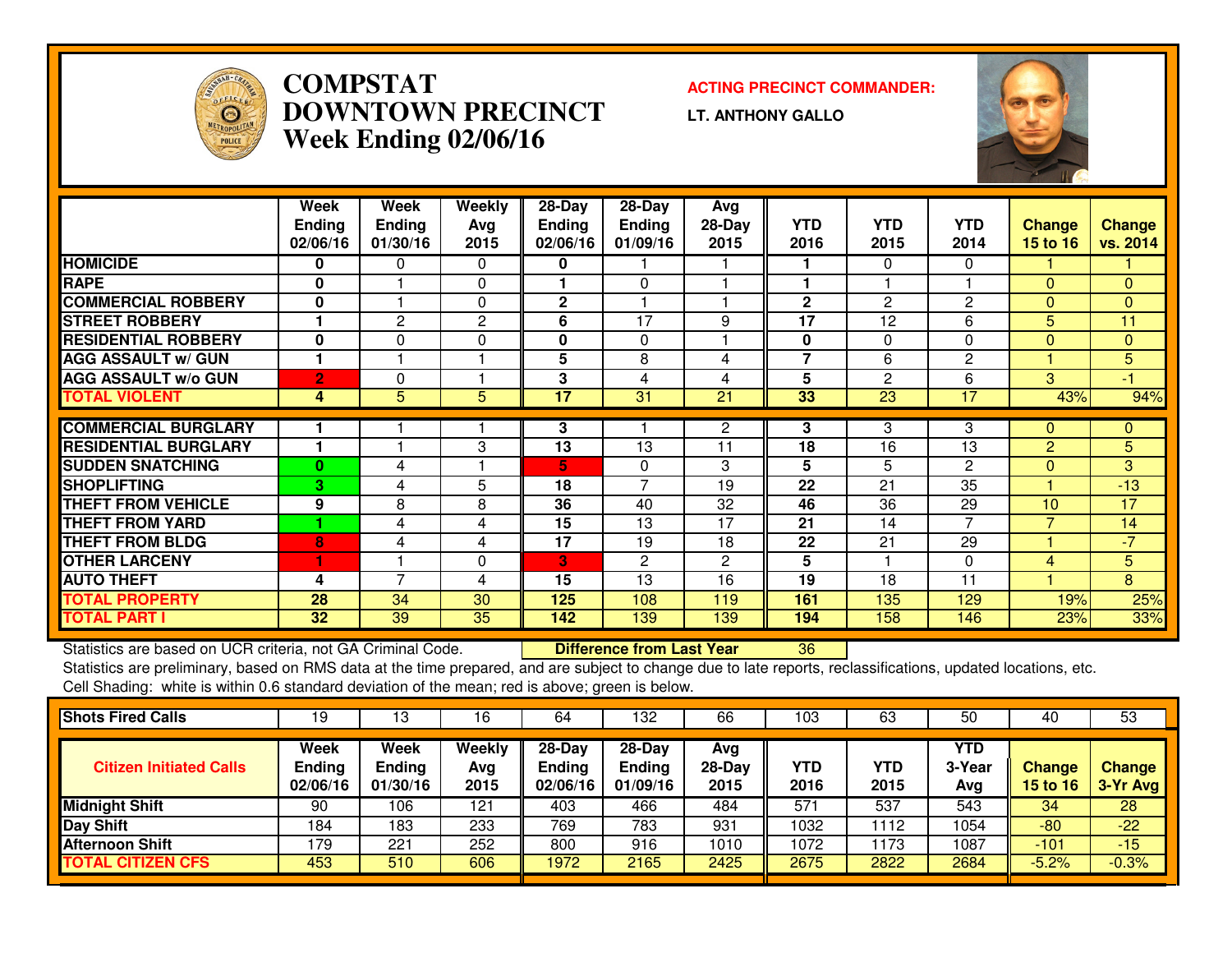

## **COMPSTAT ACTING PRECINCT COMMANDER: DOWNTOWN PRECINCTWeek Ending 02/06/16**

**LT. ANTHONY GALLO**



|                             | Week            | Week           | Weekly   | $28$ -Day     | $28$ -Day     | Avg      |                         |            |              |                 |               |
|-----------------------------|-----------------|----------------|----------|---------------|---------------|----------|-------------------------|------------|--------------|-----------------|---------------|
|                             | <b>Ending</b>   | <b>Ending</b>  | Avg      | <b>Ending</b> | <b>Ending</b> | $28-Day$ | <b>YTD</b>              | <b>YTD</b> | <b>YTD</b>   | <b>Change</b>   | <b>Change</b> |
|                             | 02/06/16        | 01/30/16       | 2015     | 02/06/16      | 01/09/16      | 2015     | 2016                    | 2015       | 2014         | <b>15 to 16</b> | vs. 2014      |
| <b>HOMICIDE</b>             | 0               | 0              | $\Omega$ | 0             |               |          |                         | $\Omega$   | $\Omega$     |                 |               |
| <b>RAPE</b>                 | 0               |                | $\Omega$ |               | 0             |          |                         |            |              | $\Omega$        | 0             |
| <b>COMMERCIAL ROBBERY</b>   | $\bf{0}$        |                | $\Omega$ | 2             |               |          | $\mathbf{2}$            | 2          | 2            | $\Omega$        | 0             |
| <b>STREET ROBBERY</b>       |                 | 2              | 2        | 6             | 17            | 9        | 17                      | 12         | 6            | 5.              | 11            |
| <b>RESIDENTIAL ROBBERY</b>  | 0               | 0              | $\Omega$ | 0             | $\Omega$      |          | 0                       | $\Omega$   | $\Omega$     | $\Omega$        | $\mathbf{0}$  |
| <b>AGG ASSAULT w/ GUN</b>   |                 |                |          | 5             | 8             | 4        | $\overline{\mathbf{z}}$ | 6          | 2            |                 | 5             |
| <b>AGG ASSAULT w/o GUN</b>  | $\overline{2}$  | 0              |          | 3             | 4             | 4        | 5                       | 2          | 6            | 3               | $-1$          |
| <b>TOTAL VIOLENT</b>        | 4               | 5              | 5        | 17            | 31            | 21       | 33                      | 23         | 17           | 43%             | 94%           |
|                             |                 |                |          |               |               |          |                         |            |              |                 |               |
| <b>COMMERCIAL BURGLARY</b>  |                 |                |          | 3             |               | 2        | 3                       | 3          | 3            | 0               | $\mathbf{0}$  |
| <b>RESIDENTIAL BURGLARY</b> |                 |                | 3        | 13            | 13            | 11       | 18                      | 16         | 13           | $\overline{2}$  | 5             |
| <b>SUDDEN SNATCHING</b>     | $\bf{0}$        | 4              |          | 5             | $\mathbf{0}$  | 3        | 5                       | 5          | $\mathbf{2}$ | $\Omega$        | 3             |
| <b>SHOPLIFTING</b>          | з               | 4              | 5        | 18            | 7             | 19       | 22                      | 21         | 35           | и               | $-13$         |
| <b>THEFT FROM VEHICLE</b>   | 9               | 8              | 8        | 36            | 40            | 32       | 46                      | 36         | 29           | 10 <sup>1</sup> | 17            |
| <b>THEFT FROM YARD</b>      |                 | 4              | 4        | 15            | 13            | 17       | 21                      | 14         | 7            |                 | 14            |
| <b>THEFT FROM BLDG</b>      | 8               | 4              | 4        | 17            | 19            | 18       | 22                      | 21         | 29           | и               | $-7$          |
| <b>OTHER LARCENY</b>        | 1               |                | $\Omega$ | 3             | 2             | 2        | 5                       |            | $\Omega$     | 4               | 5             |
| <b>AUTO THEFT</b>           | 4               | $\overline{ }$ | 4        | 15            | 13            | 16       | 19                      | 18         | 11           |                 | 8             |
| <b>TOTAL PROPERTY</b>       | 28              | 34             | 30       | 125           | 108           | 119      | 161                     | 135        | 129          | 19%             | 25%           |
| <b>TOTAL PART I</b>         | 32 <sub>2</sub> | 39             | 35       | 142           | 139           | 139      | 194                     | 158        | 146          | 23%             | 33%           |

Statistics are based on UCR criteria, not GA Criminal Code. **Difference from Last Year** 

Statistics are based on UCR criteria, not GA Criminal Code. **Difference from Last Year Net archicat Con**dications, updated locations, etc.<br>Statistics are preliminary, based on RMS data at the time prepared, and are subject Cell Shading: white is within 0.6 standard deviation of the mean; red is above; green is below.

| 19                                | 13                                       | 16                    | 64                                    | 132                            | 66                    | '03         | 63                 | 50                          | 40                               | 53                        |
|-----------------------------------|------------------------------------------|-----------------------|---------------------------------------|--------------------------------|-----------------------|-------------|--------------------|-----------------------------|----------------------------------|---------------------------|
| Week<br><b>Ending</b><br>02/06/16 | <b>Week</b><br><b>Ending</b><br>01/30/16 | Weekly<br>Avg<br>2015 | $28-Day$<br><b>Ending</b><br>02/06/16 | $28-Day$<br>Ending<br>01/09/16 | Avg<br>28-Day<br>2015 | YTD<br>2016 | <b>YTD</b><br>2015 | <b>YTD</b><br>3-Year<br>Avg | <b>Change</b><br><b>15 to 16</b> | <b>Change</b><br>3-Yr Avg |
| 90                                | 106                                      | 121                   | 403                                   | 466                            | 484                   | 571         | 537                | 543                         | 34                               | 28                        |
| 184                               | 183                                      | 233                   | 769                                   | 783                            | 931                   | 1032        | 112                | 1054                        | $-80$                            | $-22$                     |
| 179                               | 221                                      | 252                   | 800                                   | 916                            | 1010                  | 1072        | 173                | 1087                        | $-101$                           | $-15$                     |
| 453                               | 510                                      | 606                   | 1972                                  | 2165                           | 2425                  | 2675        | 2822               | 2684                        | $-5.2%$                          | $-0.3%$                   |
|                                   |                                          |                       |                                       |                                |                       |             |                    |                             |                                  |                           |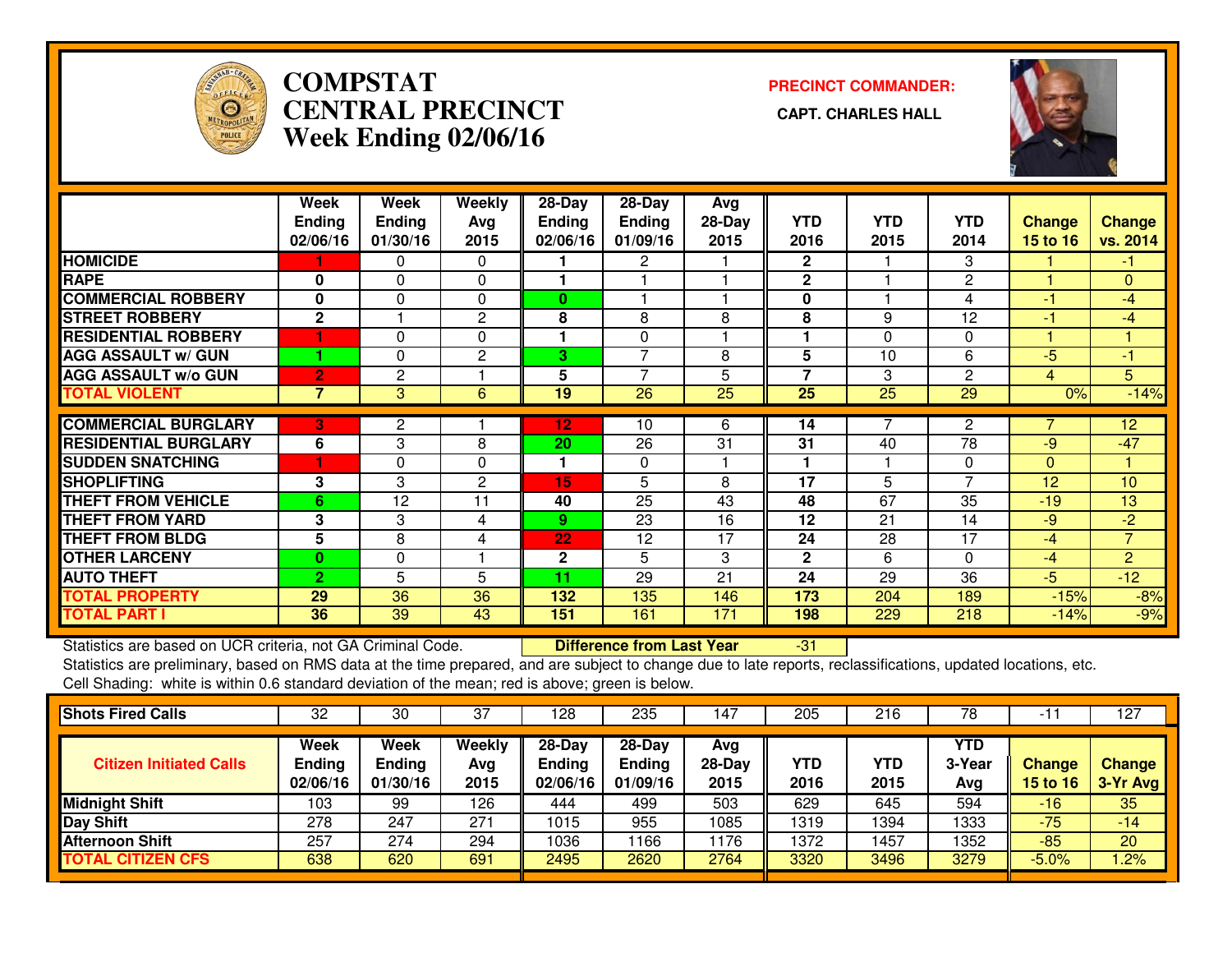

# **COMPSTAT PRECINCT COMMANDER: CENTRAL PRECINCT CAPT. CHARLES HALLWeek Ending 02/06/16**



|                             | Week           | Week           | <b>Weekly</b>  | 28-Day        | 28-Day         | Avg      |                |                 |                 |                 |                 |
|-----------------------------|----------------|----------------|----------------|---------------|----------------|----------|----------------|-----------------|-----------------|-----------------|-----------------|
|                             | <b>Ending</b>  | <b>Ending</b>  | Avg            | <b>Ending</b> | <b>Ending</b>  | $28-Day$ | <b>YTD</b>     | <b>YTD</b>      | YTD             | <b>Change</b>   | <b>Change</b>   |
|                             | 02/06/16       | 01/30/16       | 2015           | 02/06/16      | 01/09/16       | 2015     | 2016           | 2015            | 2014            | <b>15 to 16</b> | vs. 2014        |
| <b>HOMICIDE</b>             |                | 0              | $\Omega$       |               | 2              |          | $\mathbf{2}$   |                 | 3               |                 | -1.             |
| <b>RAPE</b>                 | 0              | 0              | 0              |               |                |          | $\mathbf{2}$   |                 | $\mathbf{2}$    |                 | $\mathbf{0}$    |
| <b>COMMERCIAL ROBBERY</b>   | 0              | $\Omega$       | 0              | 0             |                |          | 0              |                 | 4               | -1              | $-4$            |
| <b>STREET ROBBERY</b>       | $\mathbf{2}$   |                | 2              | 8             | 8              | 8        | 8              | 9               | 12              | -1              | $-4$            |
| <b>RESIDENTIAL ROBBERY</b>  |                | $\Omega$       | $\mathbf{0}$   | 1             | 0              |          | ٠              | $\Omega$        | $\Omega$        |                 |                 |
| <b>AGG ASSAULT w/ GUN</b>   |                | $\Omega$       | $\overline{2}$ | 3             | 7              | 8        | 5              | 10              | 6               | $-5$            | $-1$            |
| <b>AGG ASSAULT w/o GUN</b>  | $\overline{2}$ | $\overline{c}$ |                | 5             | $\overline{7}$ | 5        | $\overline{7}$ | 3               | $\overline{c}$  | 4               | 5               |
| <b>TOTAL VIOLENT</b>        | 7              | 3              | 6              | 19            | 26             | 25       | 25             | $\overline{25}$ | $\overline{29}$ | 0%              | $-14%$          |
| <b>COMMERCIAL BURGLARY</b>  | 3              | 2              |                | 12            | 10             | 6.       | 14             |                 | $\mathbf{2}$    |                 | 12 <sup>2</sup> |
| <b>RESIDENTIAL BURGLARY</b> | 6              | 3              | 8              | 20            | 26             | 31       | 31             | 40              | 78              | $-9$            | $-47$           |
|                             |                |                |                |               |                |          |                |                 |                 |                 |                 |
| <b>SUDDEN SNATCHING</b>     |                | $\Omega$       | $\Omega$       | 1             | $\Omega$       |          |                |                 | $\mathbf{0}$    | $\Omega$        |                 |
| <b>SHOPLIFTING</b>          | 3              | 3              | $\overline{2}$ | 15            | 5              | 8        | 17             | 5               | $\overline{ }$  | 12              | 10              |
| <b>THEFT FROM VEHICLE</b>   | 6              | 12             | 11             | 40            | 25             | 43       | 48             | 67              | 35              | $-19$           | 13              |
| <b>THEFT FROM YARD</b>      | 3              | 3              | 4              | 9             | 23             | 16       | 12             | 21              | 14              | -9              | $-2$            |
| <b>THEFT FROM BLDG</b>      | 5              | 8              | 4              | 22            | 12             | 17       | 24             | 28              | 17              | $-4$            | $\overline{7}$  |
| <b>OTHER LARCENY</b>        | $\bf{0}$       | 0              |                | 2             | 5              | 3        | $\mathbf{2}$   | 6               | $\Omega$        | $-4$            | $\overline{2}$  |
| <b>AUTO THEFT</b>           | $\overline{2}$ | 5              | 5              | 11            | 29             | 21       | 24             | 29              | 36              | $-5$            | $-12$           |
| <b>TOTAL PROPERTY</b>       | 29             | 36             | 36             | 132           | 135            | 146      | 173            | 204             | 189             | $-15%$          | $-8%$           |
| <b>TOTAL PART I</b>         | 36             | 39             | 43             | 151           | 161            | 171      | 198            | 229             | 218             | $-14%$          | $-9%$           |

Statistics are based on UCR criteria, not GA Criminal Code. **Difference from Last Year** Statistics are based on UCR criteria, not GA Criminal Code. **Difference from Last Year Fichoff Last Statistics** are preliminary, based on RMS data at the time prepared, and are subject to change due to late reports, reclas Cell Shading: white is within 0.6 standard deviation of the mean; red is above; green is below.

| <b>Shots Fired Calls</b>       | 32                                | 30                                | 37                    | 128                                 | 235                                   | $14-$                    | 205         | 216                | 78                   |                                  | 127                       |
|--------------------------------|-----------------------------------|-----------------------------------|-----------------------|-------------------------------------|---------------------------------------|--------------------------|-------------|--------------------|----------------------|----------------------------------|---------------------------|
| <b>Citizen Initiated Calls</b> | Week<br><b>Ending</b><br>02/06/16 | Week<br><b>Ending</b><br>01/30/16 | Weekly<br>Avg<br>2015 | 28-Day<br><b>Ending</b><br>02/06/16 | $28-Dav$<br><b>Ending</b><br>01/09/16 | Avg<br>$28$ -Day<br>2015 | YTD<br>2016 | <b>YTD</b><br>2015 | YTD<br>3-Year<br>Avg | <b>Change</b><br><b>15 to 16</b> | <b>Change</b><br>3-Yr Avg |
| <b>Midnight Shift</b>          | 103                               | 99                                | 126                   | 444                                 | 499                                   | 503                      | 629         | 645                | 594                  | $-16$                            | 35                        |
| Day Shift                      | 278                               | 247                               | 271                   | 1015                                | 955                                   | 1085                     | 1319        | 1394               | 1333                 | $-75$                            | $-14$                     |
| <b>Afternoon Shift</b>         | 257                               | 274                               | 294                   | 1036                                | 166                                   | 1176                     | 1372        | 1457               | 1352                 | $-85$                            | 20                        |
| <b>TOTAL CITIZEN CFS</b>       | 638                               | 620                               | 691                   | 2495                                | 2620                                  | 2764                     | 3320        | 3496               | 3279                 | $-5.0%$                          | $1.2\%$                   |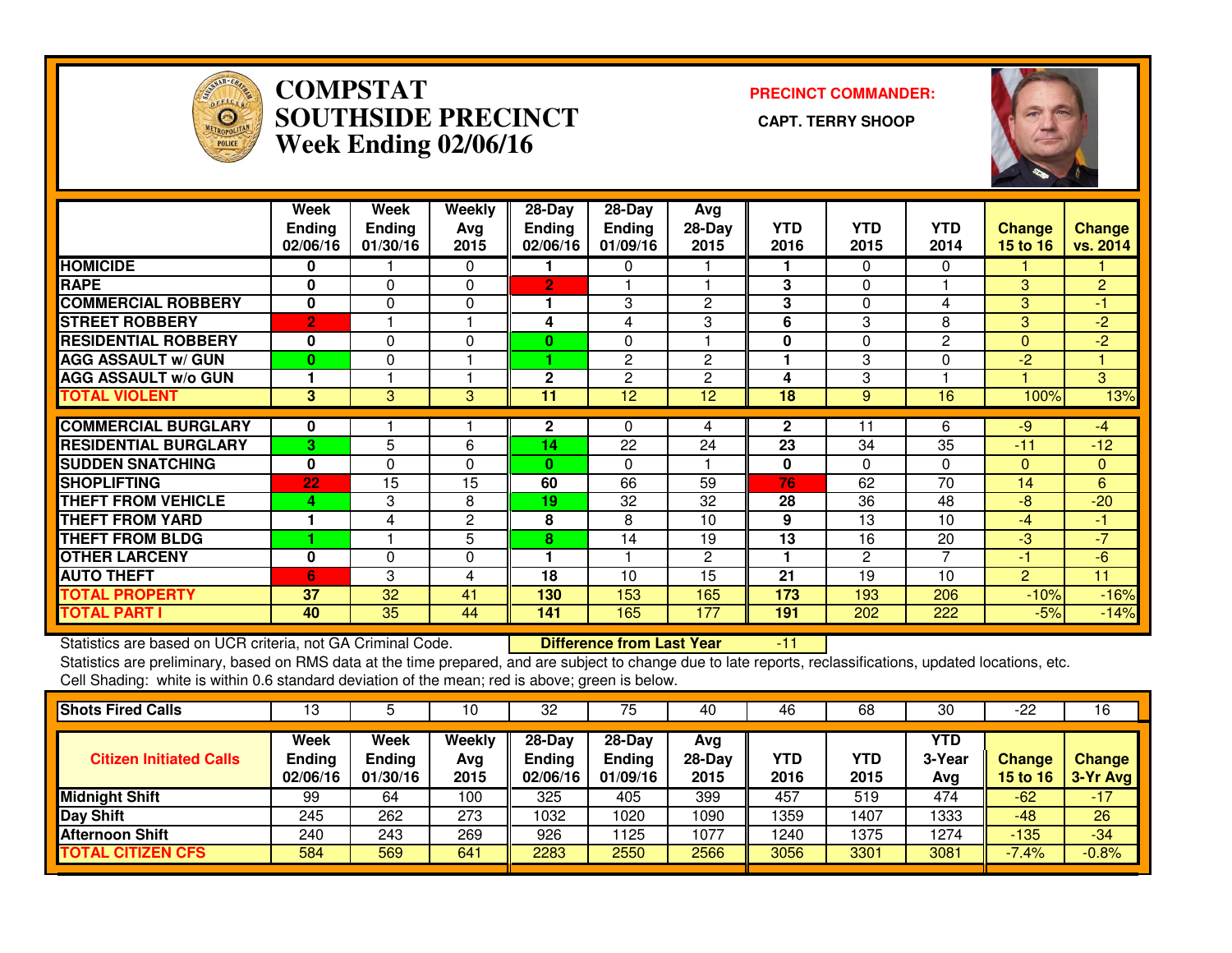

### **COMPSTAT PRECINCT COMMANDER: SOUTHSIDE PRECINCT CAPT. TERRY SHOOPWeek Ending 02/06/16**



|                             | Week<br><b>Ending</b><br>02/06/16 | Week<br><b>Ending</b><br>01/30/16 | Weekly<br>Avg<br>2015 | $28-Day$<br><b>Ending</b><br>02/06/16 | $28-Day$<br>Ending<br>01/09/16 | Avg<br>28-Day<br>2015 | <b>YTD</b><br>2016 | <b>YTD</b><br>2015 | <b>YTD</b><br>2014 | <b>Change</b><br>15 to $16$ | <b>Change</b><br>vs. 2014 |
|-----------------------------|-----------------------------------|-----------------------------------|-----------------------|---------------------------------------|--------------------------------|-----------------------|--------------------|--------------------|--------------------|-----------------------------|---------------------------|
| <b>HOMICIDE</b>             | 0                                 |                                   | $\Omega$              |                                       | 0                              |                       |                    | 0                  | $\Omega$           |                             |                           |
| <b>RAPE</b>                 | 0                                 | 0                                 | 0                     | 2                                     |                                |                       | 3                  | 0                  |                    | 3.                          | $\overline{2}$            |
| <b>COMMERCIAL ROBBERY</b>   | 0                                 | $\Omega$                          | 0                     |                                       | 3                              | 2                     | 3                  | 0                  | 4                  | 3                           | -1                        |
| <b>STREET ROBBERY</b>       | $\overline{2}$                    |                                   |                       | 4                                     | 4                              | 3                     | 6                  | 3                  | 8                  | 3                           | $-2$                      |
| <b>RESIDENTIAL ROBBERY</b>  | $\bf{0}$                          | 0                                 | 0                     | 0                                     | $\Omega$                       |                       | 0                  | 0                  | 2                  | $\Omega$                    | $-2$                      |
| <b>AGG ASSAULT w/ GUN</b>   | $\bf{0}$                          | 0                                 |                       |                                       | 2                              | $\overline{2}$        |                    | 3                  | $\Omega$           | $-2$                        |                           |
| <b>AGG ASSAULT w/o GUN</b>  |                                   |                                   |                       | 2                                     | $\overline{2}$                 | $\overline{2}$        | 4                  | 3                  |                    |                             | 3                         |
| <b>TOTAL VIOLENT</b>        | 3                                 | 3                                 | 3                     | 11                                    | 12                             | 12                    | 18                 | 9                  | 16                 | 100%                        | 13%                       |
| <b>COMMERCIAL BURGLARY</b>  | 0                                 |                                   |                       | $\mathbf{2}$                          | 0                              | 4                     | $\mathbf{2}$       | 11                 | 6                  | $-9$                        | $-4$                      |
| <b>RESIDENTIAL BURGLARY</b> |                                   |                                   |                       | 14                                    | $\overline{22}$                | 24                    | $\overline{23}$    | 34                 | $\overline{35}$    | $-11$                       |                           |
|                             | 3                                 | 5                                 | 6                     |                                       |                                |                       |                    |                    |                    |                             | $-12$                     |
| <b>SUDDEN SNATCHING</b>     | $\bf{0}$                          | 0                                 | 0                     | 0                                     | $\Omega$                       |                       | 0                  | $\Omega$           | $\Omega$           | $\Omega$                    | $\mathbf{0}$              |
| <b>SHOPLIFTING</b>          | 22                                | 15                                | 15                    | 60                                    | 66                             | 59                    | 76                 | 62                 | 70                 | 14                          | 6                         |
| <b>THEFT FROM VEHICLE</b>   | 4                                 | 3                                 | 8                     | 19                                    | 32                             | 32                    | 28                 | 36                 | 48                 | $-8$                        | $-20$                     |
| <b>THEFT FROM YARD</b>      |                                   | 4                                 | 2                     | 8                                     | 8                              | 10                    | 9                  | 13                 | 10                 | $-4$                        | -1                        |
| <b>THEFT FROM BLDG</b>      |                                   |                                   | 5                     | 8                                     | 14                             | 19                    | 13                 | 16                 | 20                 | $-3$                        | $-7$                      |
| <b>OTHER LARCENY</b>        | $\mathbf 0$                       | 0                                 | 0                     |                                       |                                | $\overline{2}$        |                    | $\overline{c}$     | 7                  | -1                          | $-6$                      |
| <b>AUTO THEFT</b>           | 6                                 | 3                                 | 4                     | 18                                    | 10                             | 15                    | 21                 | 19                 | 10                 | $\overline{2}$              | 11                        |
| <b>TOTAL PROPERTY</b>       | 37                                | 32                                | 41                    | 130                                   | 153                            | 165                   | 173                | 193                | 206                | $-10%$                      | $-16%$                    |
| <b>TOTAL PART I</b>         | 40                                | 35                                | 44                    | 141                                   | 165                            | 177                   | 191                | 202                | 222                | $-5%$                       | $-14%$                    |

Statistics are based on UCR criteria, not GA Criminal Code. **Difference from Last Year** 

Statistics are based on UCR criteria, not GA Criminal Code. **Difference from Last Year [11] [10]**<br>Statistics are preliminary, based on RMS data at the time prepared, and are subject to change due to late reports, reclassif Cell Shading: white is within 0.6 standard deviation of the mean; red is above; green is below.

|                                   |                                   | 10                    | 32                                    | 75                                    | 40                      | 46          | 68          | 30                   | -22                       | 16                          |
|-----------------------------------|-----------------------------------|-----------------------|---------------------------------------|---------------------------------------|-------------------------|-------------|-------------|----------------------|---------------------------|-----------------------------|
| Week<br><b>Ending</b><br>02/06/16 | Week<br><b>Ending</b><br>01/30/16 | Weekly<br>Avg<br>2015 | $28-Dav$<br><b>Ending</b><br>02/06/16 | $28-Dav$<br><b>Ending</b><br>01/09/16 | Avg<br>$28-Day$<br>2015 | YTD<br>2016 | YTD<br>2015 | YTD<br>3-Year<br>Avg | <b>Change</b><br>15 to 16 | <b>Change</b><br>$3-Yr$ Avg |
| 99                                | 64                                | 100                   | 325                                   | 405                                   | 399                     | 457         | 519         | 474                  | $-62$                     | $-17$                       |
| 245                               | 262                               | 273                   | 1032                                  | 1020                                  | 1090                    | 1359        | 1407        | 1333                 | -48                       | 26                          |
| 240                               | 243                               | 269                   | 926                                   | l 125                                 | 1077                    | 1240        | 1375        | 1274                 | $-135$                    | $-34$                       |
| 584                               | 569                               | 641                   | 2283                                  | 2550                                  | 2566                    | 3056        | 3301        | 3081                 | $-7.4\%$                  | $-0.8%$                     |
|                                   |                                   |                       |                                       |                                       |                         |             |             |                      |                           |                             |